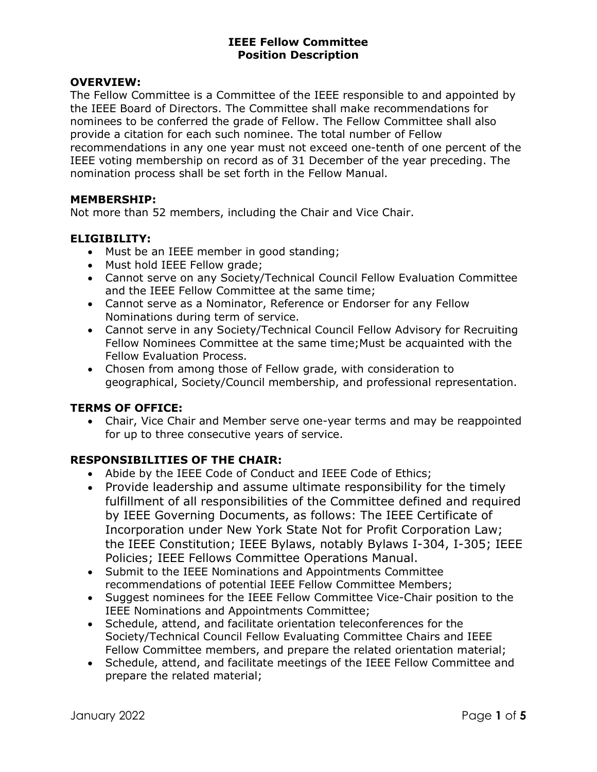### OVERVIEW:

The Fellow Committee is a Committee of the IEEE responsible to and appointed by the IEEE Board of Directors. The Committee shall make recommendations for nominees to be conferred the grade of Fellow. The Fellow Committee shall also provide a citation for each such nominee. The total number of Fellow recommendations in any one year must not exceed one-tenth of one percent of the IEEE voting membership on record as of 31 December of the year preceding. The nomination process shall be set forth in the Fellow Manual.

### MEMBERSHIP:

Not more than 52 members, including the Chair and Vice Chair.

### ELIGIBILITY:

- Must be an IEEE member in good standing;
- Must hold IEEE Fellow grade;
- Cannot serve on any Society/Technical Council Fellow Evaluation Committee and the IEEE Fellow Committee at the same time;
- Cannot serve as a Nominator, Reference or Endorser for any Fellow Nominations during term of service.
- Cannot serve in any Society/Technical Council Fellow Advisory for Recruiting Fellow Nominees Committee at the same time;Must be acquainted with the Fellow Evaluation Process.
- Chosen from among those of Fellow grade, with consideration to geographical, Society/Council membership, and professional representation.

## TERMS OF OFFICE:

 Chair, Vice Chair and Member serve one-year terms and may be reappointed for up to three consecutive years of service.

## RESPONSIBILITIES OF THE CHAIR:

- Abide by the IEEE Code of Conduct and IEEE Code of Ethics;
- Provide leadership and assume ultimate responsibility for the timely fulfillment of all responsibilities of the Committee defined and required by IEEE Governing Documents, as follows: The IEEE Certificate of Incorporation under New York State Not for Profit Corporation Law; the IEEE Constitution; IEEE Bylaws, notably Bylaws I-304, I-305; IEEE Policies; IEEE Fellows Committee Operations Manual.
- Submit to the IEEE Nominations and Appointments Committee recommendations of potential IEEE Fellow Committee Members;
- Suggest nominees for the IEEE Fellow Committee Vice-Chair position to the IEEE Nominations and Appointments Committee;
- Schedule, attend, and facilitate orientation teleconferences for the Society/Technical Council Fellow Evaluating Committee Chairs and IEEE Fellow Committee members, and prepare the related orientation material;
- Schedule, attend, and facilitate meetings of the IEEE Fellow Committee and prepare the related material;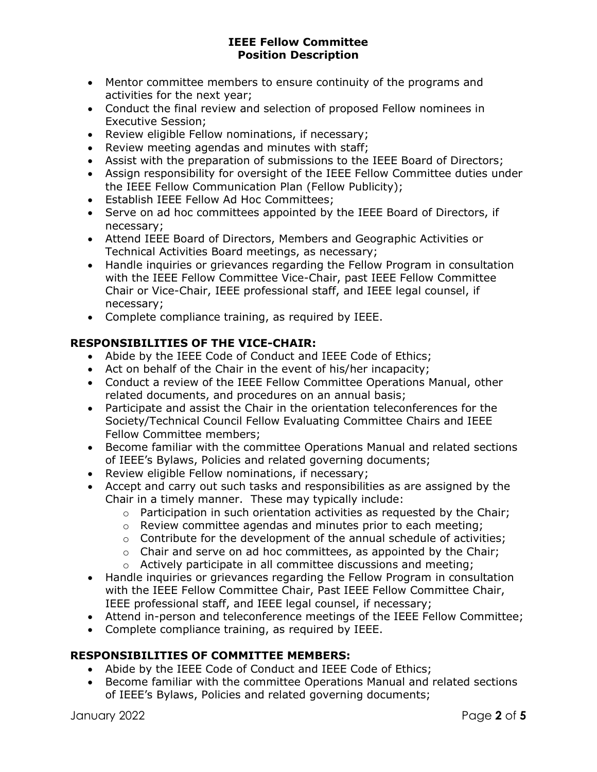- Mentor committee members to ensure continuity of the programs and activities for the next year;
- Conduct the final review and selection of proposed Fellow nominees in Executive Session;
- Review eligible Fellow nominations, if necessary;
- Review meeting agendas and minutes with staff;
- Assist with the preparation of submissions to the IEEE Board of Directors;
- Assign responsibility for oversight of the IEEE Fellow Committee duties under the IEEE Fellow Communication Plan (Fellow Publicity);
- Establish IEEE Fellow Ad Hoc Committees;
- Serve on ad hoc committees appointed by the IEEE Board of Directors, if necessary;
- Attend IEEE Board of Directors, Members and Geographic Activities or Technical Activities Board meetings, as necessary;
- Handle inquiries or grievances regarding the Fellow Program in consultation with the IEEE Fellow Committee Vice-Chair, past IEEE Fellow Committee Chair or Vice-Chair, IEEE professional staff, and IEEE legal counsel, if necessary;
- Complete compliance training, as required by IEEE.

## RESPONSIBILITIES OF THE VICE-CHAIR:

- Abide by the IEEE Code of Conduct and IEEE Code of Ethics;
- Act on behalf of the Chair in the event of his/her incapacity;
- Conduct a review of the IEEE Fellow Committee Operations Manual, other related documents, and procedures on an annual basis;
- Participate and assist the Chair in the orientation teleconferences for the Society/Technical Council Fellow Evaluating Committee Chairs and IEEE Fellow Committee members;
- Become familiar with the committee Operations Manual and related sections of IEEE's Bylaws, Policies and related governing documents;
- Review eligible Fellow nominations, if necessary;
- Accept and carry out such tasks and responsibilities as are assigned by the Chair in a timely manner. These may typically include:
	- $\circ$  Participation in such orientation activities as requested by the Chair;
	- o Review committee agendas and minutes prior to each meeting;
	- $\circ$  Contribute for the development of the annual schedule of activities;
	- $\circ$  Chair and serve on ad hoc committees, as appointed by the Chair;
	- o Actively participate in all committee discussions and meeting;
- Handle inquiries or grievances regarding the Fellow Program in consultation with the IEEE Fellow Committee Chair, Past IEEE Fellow Committee Chair, IEEE professional staff, and IEEE legal counsel, if necessary;
- Attend in-person and teleconference meetings of the IEEE Fellow Committee;
- Complete compliance training, as required by IEEE.

# RESPONSIBILITIES OF COMMITTEE MEMBERS:

- Abide by the IEEE Code of Conduct and IEEE Code of Ethics;
- Become familiar with the committee Operations Manual and related sections of IEEE's Bylaws, Policies and related governing documents;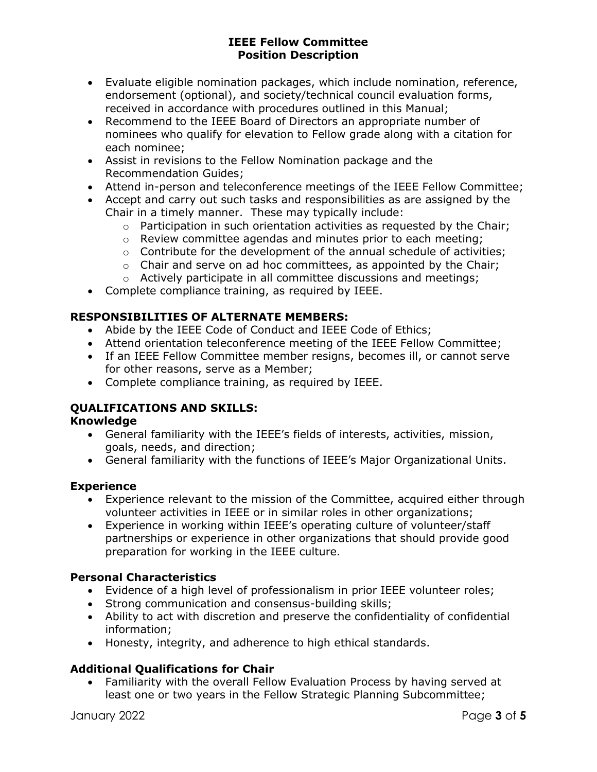- Evaluate eligible nomination packages, which include nomination, reference, endorsement (optional), and society/technical council evaluation forms, received in accordance with procedures outlined in this Manual;
- Recommend to the IEEE Board of Directors an appropriate number of nominees who qualify for elevation to Fellow grade along with a citation for each nominee;
- Assist in revisions to the Fellow Nomination package and the Recommendation Guides;
- Attend in-person and teleconference meetings of the IEEE Fellow Committee;
- Accept and carry out such tasks and responsibilities as are assigned by the Chair in a timely manner. These may typically include:
	- o Participation in such orientation activities as requested by the Chair;
	- o Review committee agendas and minutes prior to each meeting;
	- $\circ$  Contribute for the development of the annual schedule of activities;
	- $\circ$  Chair and serve on ad hoc committees, as appointed by the Chair;
	- o Actively participate in all committee discussions and meetings;
- Complete compliance training, as required by IEEE.

## RESPONSIBILITIES OF ALTERNATE MEMBERS:

- Abide by the IEEE Code of Conduct and IEEE Code of Ethics;
- Attend orientation teleconference meeting of the IEEE Fellow Committee;
- If an IEEE Fellow Committee member resigns, becomes ill, or cannot serve for other reasons, serve as a Member;
- Complete compliance training, as required by IEEE.

# QUALIFICATIONS AND SKILLS:

## Knowledge

- General familiarity with the IEEE's fields of interests, activities, mission, goals, needs, and direction;
- General familiarity with the functions of IEEE's Major Organizational Units.

## Experience

- Experience relevant to the mission of the Committee, acquired either through volunteer activities in IEEE or in similar roles in other organizations;
- Experience in working within IEEE's operating culture of volunteer/staff partnerships or experience in other organizations that should provide good preparation for working in the IEEE culture.

# Personal Characteristics

- Evidence of a high level of professionalism in prior IEEE volunteer roles;
- Strong communication and consensus-building skills;
- Ability to act with discretion and preserve the confidentiality of confidential information;
- Honesty, integrity, and adherence to high ethical standards.

# Additional Qualifications for Chair

 Familiarity with the overall Fellow Evaluation Process by having served at least one or two years in the Fellow Strategic Planning Subcommittee;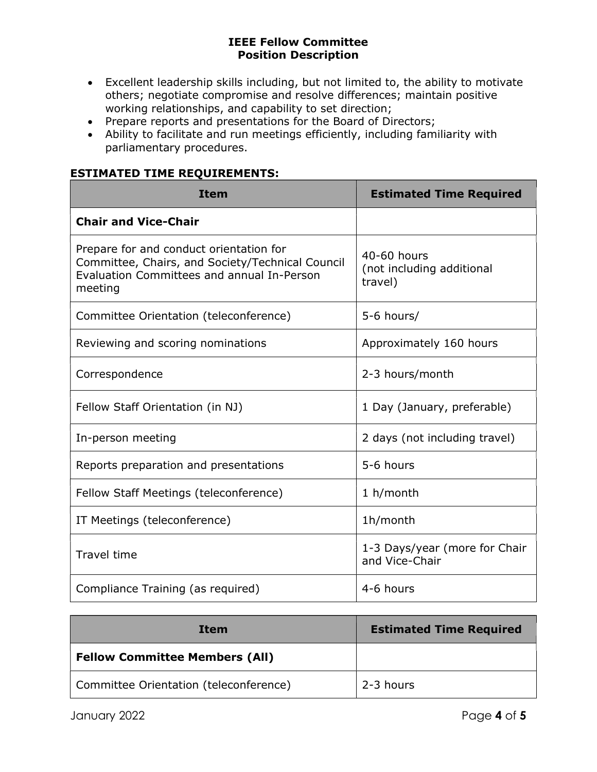- Excellent leadership skills including, but not limited to, the ability to motivate others; negotiate compromise and resolve differences; maintain positive working relationships, and capability to set direction;
- Prepare reports and presentations for the Board of Directors;
- Ability to facilitate and run meetings efficiently, including familiarity with parliamentary procedures.

## ESTIMATED TIME REQUIREMENTS:

| <b>Item</b>                                                                                                                                          | <b>Estimated Time Required</b>                      |
|------------------------------------------------------------------------------------------------------------------------------------------------------|-----------------------------------------------------|
| <b>Chair and Vice-Chair</b>                                                                                                                          |                                                     |
| Prepare for and conduct orientation for<br>Committee, Chairs, and Society/Technical Council<br>Evaluation Committees and annual In-Person<br>meeting | 40-60 hours<br>(not including additional<br>travel) |
| Committee Orientation (teleconference)                                                                                                               | 5-6 hours/                                          |
| Reviewing and scoring nominations                                                                                                                    | Approximately 160 hours                             |
| Correspondence                                                                                                                                       | 2-3 hours/month                                     |
| Fellow Staff Orientation (in NJ)                                                                                                                     | 1 Day (January, preferable)                         |
| In-person meeting                                                                                                                                    | 2 days (not including travel)                       |
| Reports preparation and presentations                                                                                                                | 5-6 hours                                           |
| Fellow Staff Meetings (teleconference)                                                                                                               | 1 h/month                                           |
| IT Meetings (teleconference)                                                                                                                         | 1h/month                                            |
| <b>Travel time</b>                                                                                                                                   | 1-3 Days/year (more for Chair<br>and Vice-Chair     |
| Compliance Training (as required)                                                                                                                    | 4-6 hours                                           |

| Item                                   | <b>Estimated Time Required</b> |
|----------------------------------------|--------------------------------|
| <b>Fellow Committee Members (All)</b>  |                                |
| Committee Orientation (teleconference) | 2-3 hours                      |